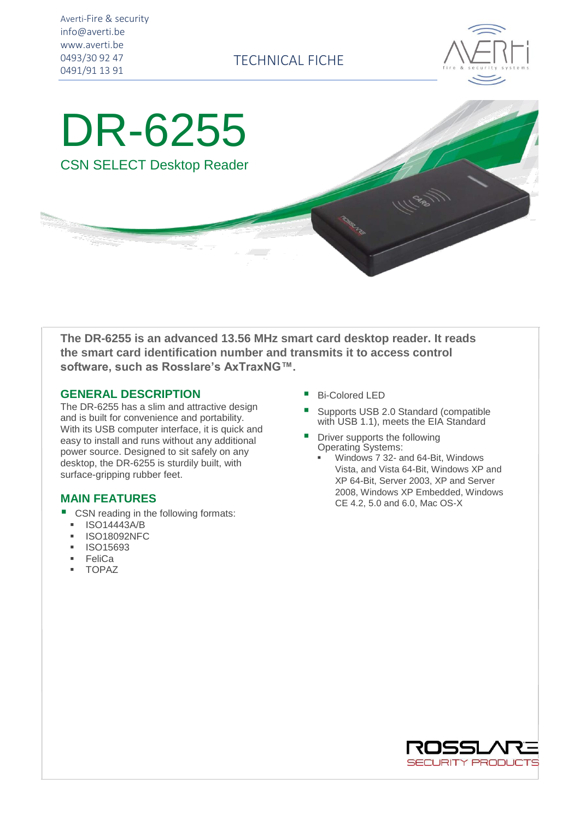Averti-Fire & security info@averti.be www.averti.be 0493/30 92 47 0491/91 13 91

TECHNICAL FICHE



DR-6255 CSN SELECT Desktop Reader

**The DR-6255 is an advanced 13.56 MHz smart card desktop reader. It reads the smart card identification number and transmits it to access control software, such as Rosslare's AxTraxNG™.**

## **GENERAL DESCRIPTION**

The DR-6255 has a slim and attractive design and is built for convenience and portability. With its USB computer interface, it is quick and easy to install and runs without any additional power source. Designed to sit safely on any desktop, the DR-6255 is sturdily built, with surface-gripping rubber feet.

## **MAIN FEATURES**

- CSN reading in the following formats:
- **ISO14443A/B**
- **ISO18092NFC**
- ISO15693
- **FeliCa**
- **TOPAZ**
- **Bi-Colored LED**
- Supports USB 2.0 Standard (compatible with USB 1.1), meets the EIA Standard
- Driver supports the following Operating Systems:
	- Windows 7 32- and 64-Bit, Windows Vista, and Vista 64-Bit, Windows XP and XP 64-Bit, Server 2003, XP and Server 2008, Windows XP Embedded, Windows CE 4.2, 5.0 and 6.0, Mac OS-X